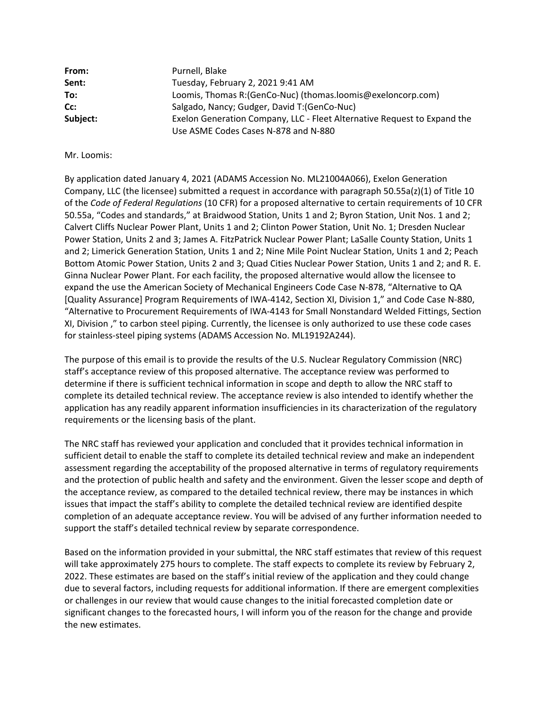| From:    | Purnell, Blake                                                           |
|----------|--------------------------------------------------------------------------|
| Sent:    | Tuesday, February 2, 2021 9:41 AM                                        |
| To:      | Loomis, Thomas R: (GenCo-Nuc) (thomas.loomis@exeloncorp.com)             |
| Cc:      | Salgado, Nancy; Gudger, David T: (GenCo-Nuc)                             |
| Subject: | Exelon Generation Company, LLC - Fleet Alternative Request to Expand the |
|          | Use ASME Codes Cases N-878 and N-880                                     |

## Mr. Loomis:

By application dated January 4, 2021 (ADAMS Accession No. ML21004A066), Exelon Generation Company, LLC (the licensee) submitted a request in accordance with paragraph 50.55a(z)(1) of Title 10 of the *Code of Federal Regulations* (10 CFR) for a proposed alternative to certain requirements of 10 CFR 50.55a, "Codes and standards," at Braidwood Station, Units 1 and 2; Byron Station, Unit Nos. 1 and 2; Calvert Cliffs Nuclear Power Plant, Units 1 and 2; Clinton Power Station, Unit No. 1; Dresden Nuclear Power Station, Units 2 and 3; James A. FitzPatrick Nuclear Power Plant; LaSalle County Station, Units 1 and 2; Limerick Generation Station, Units 1 and 2; Nine Mile Point Nuclear Station, Units 1 and 2; Peach Bottom Atomic Power Station, Units 2 and 3; Quad Cities Nuclear Power Station, Units 1 and 2; and R. E. Ginna Nuclear Power Plant. For each facility, the proposed alternative would allow the licensee to expand the use the American Society of Mechanical Engineers Code Case N-878, "Alternative to QA [Quality Assurance] Program Requirements of IWA-4142, Section XI, Division 1," and Code Case N-880, "Alternative to Procurement Requirements of IWA-4143 for Small Nonstandard Welded Fittings, Section XI, Division ," to carbon steel piping. Currently, the licensee is only authorized to use these code cases for stainless-steel piping systems (ADAMS Accession No. ML19192A244).

The purpose of this email is to provide the results of the U.S. Nuclear Regulatory Commission (NRC) staff's acceptance review of this proposed alternative. The acceptance review was performed to determine if there is sufficient technical information in scope and depth to allow the NRC staff to complete its detailed technical review. The acceptance review is also intended to identify whether the application has any readily apparent information insufficiencies in its characterization of the regulatory requirements or the licensing basis of the plant.

The NRC staff has reviewed your application and concluded that it provides technical information in sufficient detail to enable the staff to complete its detailed technical review and make an independent assessment regarding the acceptability of the proposed alternative in terms of regulatory requirements and the protection of public health and safety and the environment. Given the lesser scope and depth of the acceptance review, as compared to the detailed technical review, there may be instances in which issues that impact the staff's ability to complete the detailed technical review are identified despite completion of an adequate acceptance review. You will be advised of any further information needed to support the staff's detailed technical review by separate correspondence.

Based on the information provided in your submittal, the NRC staff estimates that review of this request will take approximately 275 hours to complete. The staff expects to complete its review by February 2, 2022. These estimates are based on the staff's initial review of the application and they could change due to several factors, including requests for additional information. If there are emergent complexities or challenges in our review that would cause changes to the initial forecasted completion date or significant changes to the forecasted hours, I will inform you of the reason for the change and provide the new estimates.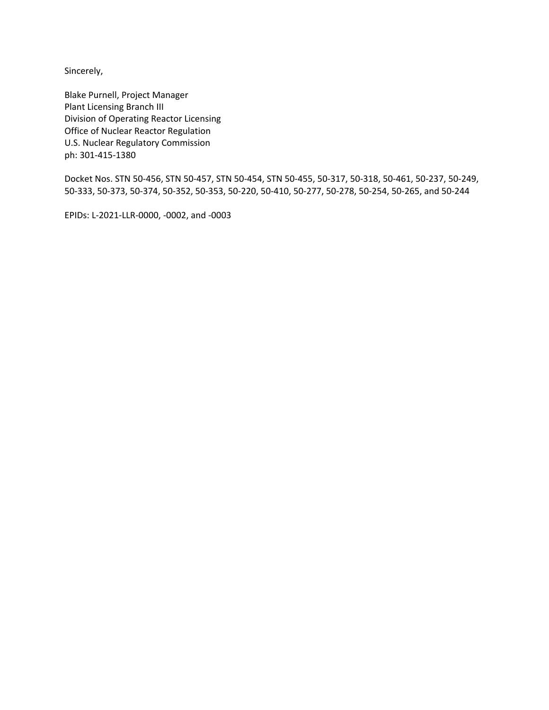Sincerely,

Blake Purnell, Project Manager Plant Licensing Branch III Division of Operating Reactor Licensing Office of Nuclear Reactor Regulation U.S. Nuclear Regulatory Commission ph: 301-415-1380

Docket Nos. STN 50-456, STN 50-457, STN 50-454, STN 50-455, 50-317, 50-318, 50-461, 50-237, 50-249, 50-333, 50-373, 50-374, 50-352, 50-353, 50-220, 50-410, 50-277, 50-278, 50-254, 50-265, and 50-244

EPIDs: L-2021-LLR-0000, -0002, and -0003